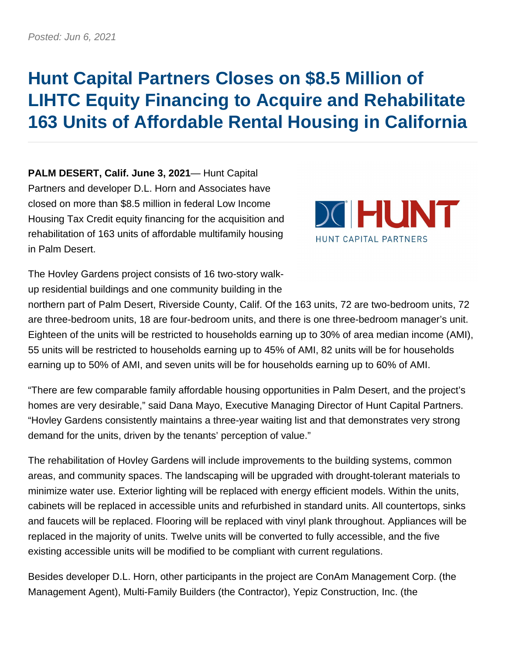## **Hunt Capital Partners Closes on \$8.5 Million of LIHTC Equity Financing to Acquire and Rehabilitate 163 Units of Affordable Rental Housing in California**

**PALM DESERT, Calif. June 3, 2021**— Hunt Capital Partners and developer D.L. Horn and Associates have closed on more than \$8.5 million in federal Low Income Housing Tax Credit equity financing for the acquisition and rehabilitation of 163 units of affordable multifamily housing in Palm Desert.



The Hovley Gardens project consists of 16 two-story walkup residential buildings and one community building in the

northern part of Palm Desert, Riverside County, Calif. Of the 163 units, 72 are two-bedroom units, 72 are three-bedroom units, 18 are four-bedroom units, and there is one three-bedroom manager's unit. Eighteen of the units will be restricted to households earning up to 30% of area median income (AMI), 55 units will be restricted to households earning up to 45% of AMI, 82 units will be for households earning up to 50% of AMI, and seven units will be for households earning up to 60% of AMI.

"There are few comparable family affordable housing opportunities in Palm Desert, and the project's homes are very desirable," said Dana Mayo, Executive Managing Director of Hunt Capital Partners. "Hovley Gardens consistently maintains a three-year waiting list and that demonstrates very strong demand for the units, driven by the tenants' perception of value."

The rehabilitation of Hovley Gardens will include improvements to the building systems, common areas, and community spaces. The landscaping will be upgraded with drought-tolerant materials to minimize water use. Exterior lighting will be replaced with energy efficient models. Within the units, cabinets will be replaced in accessible units and refurbished in standard units. All countertops, sinks and faucets will be replaced. Flooring will be replaced with vinyl plank throughout. Appliances will be replaced in the majority of units. Twelve units will be converted to fully accessible, and the five existing accessible units will be modified to be compliant with current regulations.

Besides developer D.L. Horn, other participants in the project are ConAm Management Corp. (the Management Agent), Multi-Family Builders (the Contractor), Yepiz Construction, Inc. (the